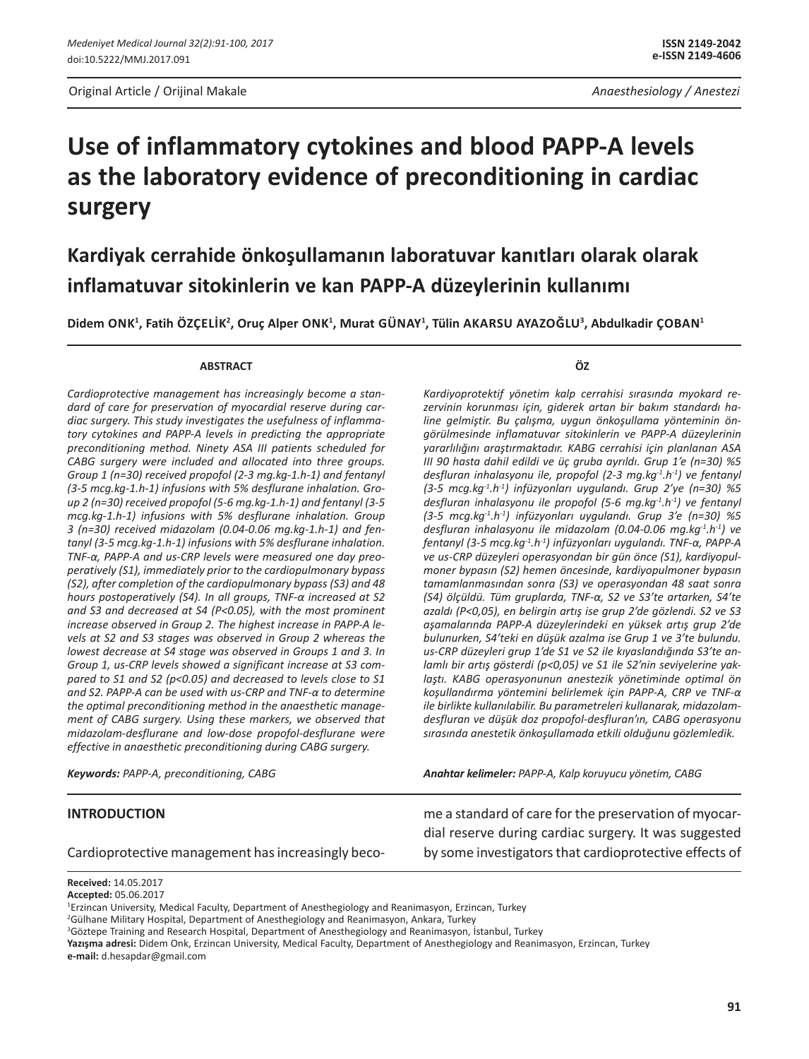Original Article / Orijinal Makale *Anaesthesiology / Anestezi* 

# **Use of inflammatory cytokines and blood PAPP-A levels as the laboratory evidence of preconditioning in cardiac surgery**

## **Kardiyak cerrahide önkoşullamanın laboratuvar kanıtları olarak olarak inflamatuvar sitokinlerin ve kan PAPP-A düzeylerinin kullanımı**

**Didem Onk1 , Fatih Özçelİk<sup>2</sup> , Oruç Alper Onk1 , Murat Günay1 , Tülin Akarsu Ayazoğlu<sup>3</sup> , Abdulkadir Çoban1**

#### **ABSTRACT**

*Cardioprotective management has increasingly become a standard of care for preservation of myocardial reserve during cardiac surgery. This study investigates the usefulness of inflammatory cytokines and PAPP-A levels in predicting the appropriate preconditioning method. Ninety ASA III patients scheduled for CABG surgery were included and allocated into three groups. Group 1 (n=30) received propofol (2-3 mg.kg-1.h-1) and fentanyl (3-5 mcg.kg-1.h-1) infusions with 5% desflurane inhalation. Group 2 (n=30) received propofol (5-6 mg.kg-1.h-1) and fentanyl (3-5 mcg.kg-1.h-1) infusions with 5% desflurane inhalation. Group 3 (n=30) received midazolam (0.04-0.06 mg.kg-1.h-1) and fentanyl (3-5 mcg.kg-1.h-1) infusions with 5% desflurane inhalation. TNF-α, PAPP-A and us-CRP levels were measured one day preoperatively (S1), immediately prior to the cardiopulmonary bypass (S2), after completion of the cardiopulmonary bypass (S3) and 48 hours postoperatively (S4). In all groups, TNF-α increased at S2 and S3 and decreased at S4 (P<0.05), with the most prominent increase observed in Group 2. The highest increase in PAPP-A levels at S2 and S3 stages was observed in Group 2 whereas the lowest decrease at S4 stage was observed in Groups 1 and 3. In Group 1, us-CRP levels showed a significant increase at S3 compared to S1 and S2 (p<0.05) and decreased to levels close to S1 and S2. PAPP-A can be used with us-CRP and TNF-α to determine the optimal preconditioning method in the anaesthetic management of CABG surgery. Using these markers, we observed that midazolam-desflurane and low-dose propofol-desflurane were effective in anaesthetic preconditioning during CABG surgery.*

**ÖZ**

*Kardiyoprotektif yönetim kalp cerrahisi sırasında myokard rezervinin korunması için, giderek artan bir bakım standardı haline gelmiştir. Bu çalışma, uygun önkoşullama yönteminin öngörülmesinde inflamatuvar sitokinlerin ve PAPP-A düzeylerinin yararlılığını araştırmaktadır. KABG cerrahisi için planlanan ASA III 90 hasta dahil edildi ve üç gruba ayrıldı. Grup 1'e (n=30) %5 desfluran inhalasyonu ile, propofol (2-3 mg.kg-1.h-1) ve fentanyl (3-5 mcg.kg-1.h-1) infüzyonları uygulandı. Grup 2'ye (n=30) %5*  desfluran inhalasyonu ile propofol (5-6 mg.kg<sup>-1</sup>.h<sup>-1</sup>) ve fentanyl *(3-5 mcg.kg-1.h-1) infüzyonları uygulandı. Grup 3'e (n=30) %5 desfluran inhalasyonu ile midazolam (0.04-0.06 mg.kg-1.h-1) ve fentanyl (3-5 mcg.kg-1.h-1) infüzyonları uygulandı. TNF-α, PAPP-A ve us-CRP düzeyleri operasyondan bir gün önce (S1), kardiyopulmoner bypasın (S2) hemen öncesinde, kardiyopulmoner bypasın tamamlanmasından sonra (S3) ve operasyondan 48 saat sonra (S4) ölçüldü. Tüm gruplarda, TNF-α, S2 ve S3'te artarken, S4'te azaldı (P<0,05), en belirgin artış ise grup 2'de gözlendi. S2 ve S3 aşamalarında PAPP-A düzeylerindeki en yüksek artış grup 2'de bulunurken, S4'teki en düşük azalma ise Grup 1 ve 3'te bulundu. us-CRP düzeyleri grup 1'de S1 ve S2 ile kıyaslandığında S3'te anlamlı bir artış gösterdi (p<0,05) ve S1 ile S2'nin seviyelerine yaklaştı. KABG operasyonunun anestezik yönetiminde optimal ön koşullandırma yöntemini belirlemek için PAPP-A, CRP ve TNF-α ile birlikte kullanılabilir. Bu parametreleri kullanarak, midazolamdesfluran ve düşük doz propofol-desfluran'ın, CABG operasyonu sırasında anestetik önkoşullamada etkili olduğunu gözlemledik.*

*Keywords: PAPP-A, preconditioning, CABG*

## *Anahtar kelimeler: PAPP-A, Kalp koruyucu yönetim, CABG*

#### **INTRODUCTION**

Cardioprotective management has increasingly beco-

me a standard of care for the preservation of myocardial reserve during cardiac surgery. It was suggested by some investigators that cardioprotective effects of

**Received:** 14.05.2017

**Accepted:** 05.06.2017

<sup>1</sup> Erzincan University, Medical Faculty, Department of Anesthegiology and Reanimasyon, Erzincan, Turkey

<sup>2</sup> Gülhane Military Hospital, Department of Anesthegiology and Reanimasyon, Ankara, Turkey

<sup>3</sup> Göztepe Training and Research Hospital, Department of Anesthegiology and Reanimasyon, İstanbul, Turkey

**Yazışma adresi:** Didem Onk, Erzincan University, Medical Faculty, Department of Anesthegiology and Reanimasyon, Erzincan, Turkey **e-mail:** d.hesapdar@gmail.com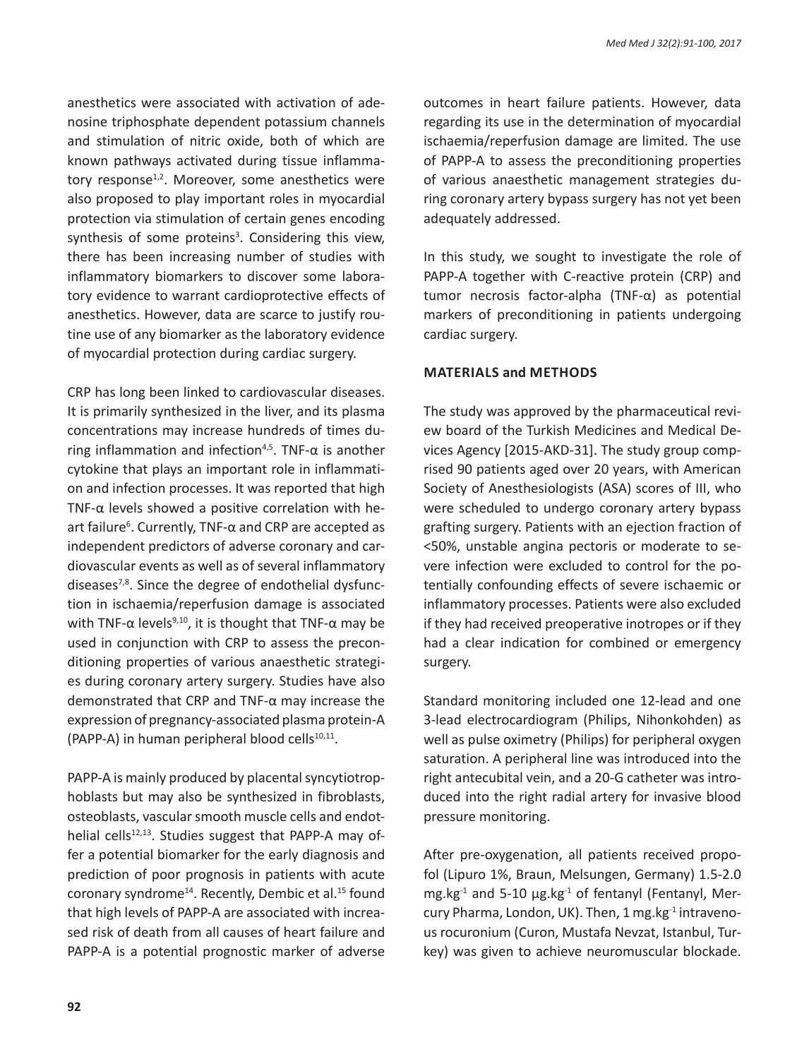anesthetics were associated with activation of adenosine triphosphate dependent potassium channels and stimulation of nitric oxide, both of which are known pathways activated during tissue inflammatory response $1,2$ . Moreover, some anesthetics were also proposed to play important roles in myocardial protection via stimulation of certain genes encoding synthesis of some proteins<sup>3</sup>. Considering this view, there has been increasing number of studies with inflammatory biomarkers to discover some laboratory evidence to warrant cardioprotective effects of anesthetics. However, data are scarce to justify routine use of any biomarker as the laboratory evidence of myocardial protection during cardiac surgery.

CRP has long been linked to cardiovascular diseases. It is primarily synthesized in the liver, and its plasma concentrations may increase hundreds of times during inflammation and infection<sup>4,5</sup>. TNF- $\alpha$  is another cytokine that plays an important role in inflammation and infection processes. It was reported that high TNF- $\alpha$  levels showed a positive correlation with heart failure<sup>6</sup>. Currently, TNF- $\alpha$  and CRP are accepted as independent predictors of adverse coronary and cardiovascular events as well as of several inflammatory diseases7,8. Since the degree of endothelial dysfunction in ischaemia/reperfusion damage is associated with TNF- $\alpha$  levels<sup>9,10</sup>, it is thought that TNF- $\alpha$  may be used in conjunction with CRP to assess the preconditioning properties of various anaesthetic strategies during coronary artery surgery. Studies have also demonstrated that CRP and TNF-α may increase the expression of pregnancy-associated plasma protein-A (PAPP-A) in human peripheral blood cells $10,11$ .

PAPP-A is mainly produced by placental syncytiotrophoblasts but may also be synthesized in fibroblasts, osteoblasts, vascular smooth muscle cells and endothelial cells $12,13$ . Studies suggest that PAPP-A may offer a potential biomarker for the early diagnosis and prediction of poor prognosis in patients with acute coronary syndrome<sup>14</sup>. Recently, Dembic et al.<sup>15</sup> found that high levels of PAPP-A are associated with increased risk of death from all causes of heart failure and PAPP-A is a potential prognostic marker of adverse outcomes in heart failure patients. However, data regarding its use in the determination of myocardial ischaemia/reperfusion damage are limited. The use of PAPP-A to assess the preconditioning properties of various anaesthetic management strategies during coronary artery bypass surgery has not yet been adequately addressed.

In this study, we sought to investigate the role of PAPP-A together with C-reactive protein (CRP) and tumor necrosis factor-alpha (TNF-α) as potential markers of preconditioning in patients undergoing cardiac surgery.

## **MaterIals and Methods**

The study was approved by the pharmaceutical review board of the Turkish Medicines and Medical Devices Agency [2015-AKD-31]. The study group comprised 90 patients aged over 20 years, with American Society of Anesthesiologists (ASA) scores of III, who were scheduled to undergo coronary artery bypass grafting surgery. Patients with an ejection fraction of <50%, unstable angina pectoris or moderate to severe infection were excluded to control for the potentially confounding effects of severe ischaemic or inflammatory processes. Patients were also excluded if they had received preoperative inotropes or if they had a clear indication for combined or emergency surgery.

Standard monitoring included one 12-lead and one 3-lead electrocardiogram (Philips, Nihonkohden) as well as pulse oximetry (Philips) for peripheral oxygen saturation. A peripheral line was introduced into the right antecubital vein, and a 20-G catheter was introduced into the right radial artery for invasive blood pressure monitoring.

After pre-oxygenation, all patients received propofol (Lipuro 1%, Braun, Melsungen, Germany) 1.5-2.0 mg.kg $^{-1}$  and 5-10  $\mu$ g.kg $^{-1}$  of fentanyl (Fentanyl, Mercury Pharma, London, UK). Then, 1 mg.kg<sup>-1</sup> intravenous rocuronium (Curon, Mustafa Nevzat, Istanbul, Turkey) was given to achieve neuromuscular blockade.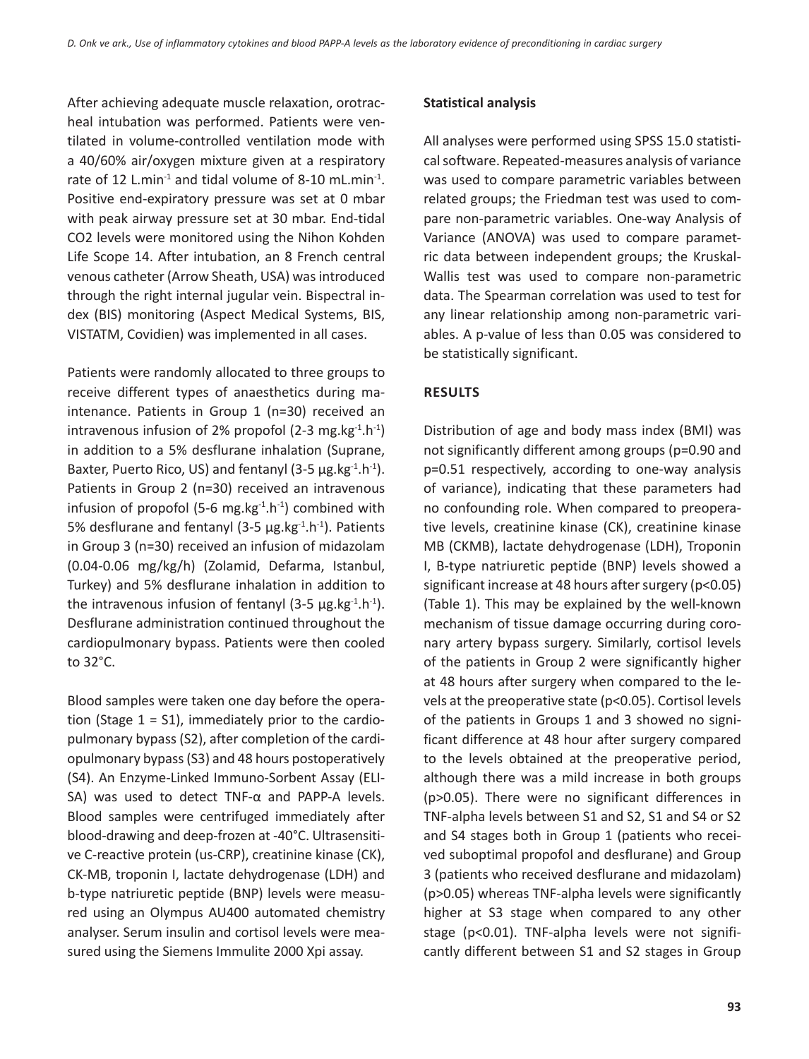After achieving adequate muscle relaxation, orotracheal intubation was performed. Patients were ventilated in volume-controlled ventilation mode with a 40/60% air/oxygen mixture given at a respiratory rate of 12 L.min<sup>-1</sup> and tidal volume of 8-10 mL.min<sup>-1</sup>. Positive end-expiratory pressure was set at 0 mbar with peak airway pressure set at 30 mbar. End-tidal CO2 levels were monitored using the Nihon Kohden Life Scope 14. After intubation, an 8 French central venous catheter (Arrow Sheath, USA) was introduced through the right internal jugular vein. Bispectral index (BIS) monitoring (Aspect Medical Systems, BIS, VISTATM, Covidien) was implemented in all cases.

Patients were randomly allocated to three groups to receive different types of anaesthetics during maintenance. Patients in Group 1 (n=30) received an intravenous infusion of 2% propofol (2-3 mg.kg $^{-1}$ .h $^{-1}$ ) in addition to a 5% desflurane inhalation (Suprane, Baxter, Puerto Rico, US) and fentanyl (3-5  $\mu$ g.kg<sup>-1</sup>.h<sup>-1</sup>). Patients in Group 2 (n=30) received an intravenous infusion of propofol (5-6 mg.kg $^{-1}$ .h $^{-1}$ ) combined with 5% desflurane and fentanyl (3-5  $\mu$ g.kg<sup>-1</sup>.h<sup>-1</sup>). Patients in Group 3 (n=30) received an infusion of midazolam (0.04-0.06 mg/kg/h) (Zolamid, Defarma, Istanbul, Turkey) and 5% desflurane inhalation in addition to the intravenous infusion of fentanyl  $(3-5 \mu g.kg^{-1}h^{-1})$ . Desflurane administration continued throughout the cardiopulmonary bypass. Patients were then cooled to 32°C.

Blood samples were taken one day before the operation (Stage  $1 = S1$ ), immediately prior to the cardiopulmonary bypass (S2), after completion of the cardiopulmonary bypass (S3) and 48 hours postoperatively (S4). An Enzyme-Linked Immuno-Sorbent Assay (ELI-SA) was used to detect TNF-α and PAPP-A levels. Blood samples were centrifuged immediately after blood-drawing and deep-frozen at -40°C. Ultrasensitive C-reactive protein (us-CRP), creatinine kinase (CK), CK-MB, troponin I, lactate dehydrogenase (LDH) and b-type natriuretic peptide (BNP) levels were measured using an Olympus AU400 automated chemistry analyser. Serum insulin and cortisol levels were measured using the Siemens Immulite 2000 Xpi assay.

#### **Statistical analysis**

All analyses were performed using SPSS 15.0 statistical software. Repeated-measures analysis of variance was used to compare parametric variables between related groups; the Friedman test was used to compare non-parametric variables. One-way Analysis of Variance (ANOVA) was used to compare parametric data between independent groups; the Kruskal-Wallis test was used to compare non-parametric data. The Spearman correlation was used to test for any linear relationship among non-parametric variables. A p-value of less than 0.05 was considered to be statistically significant.

#### **Results**

Distribution of age and body mass index (BMI) was not significantly different among groups (p=0.90 and p=0.51 respectively, according to one-way analysis of variance), indicating that these parameters had no confounding role. When compared to preoperative levels, creatinine kinase (CK), creatinine kinase MB (CKMB), lactate dehydrogenase (LDH), Troponin I, B-type natriuretic peptide (BNP) levels showed a significant increase at 48 hours after surgery (p<0.05) (Table 1). This may be explained by the well-known mechanism of tissue damage occurring during coronary artery bypass surgery. Similarly, cortisol levels of the patients in Group 2 were significantly higher at 48 hours after surgery when compared to the levels at the preoperative state (p<0.05). Cortisol levels of the patients in Groups 1 and 3 showed no significant difference at 48 hour after surgery compared to the levels obtained at the preoperative period, although there was a mild increase in both groups (p>0.05). There were no significant differences in TNF-alpha levels between S1 and S2, S1 and S4 or S2 and S4 stages both in Group 1 (patients who received suboptimal propofol and desflurane) and Group 3 (patients who received desflurane and midazolam) (p>0.05) whereas TNF-alpha levels were significantly higher at S3 stage when compared to any other stage (p<0.01). TNF-alpha levels were not significantly different between S1 and S2 stages in Group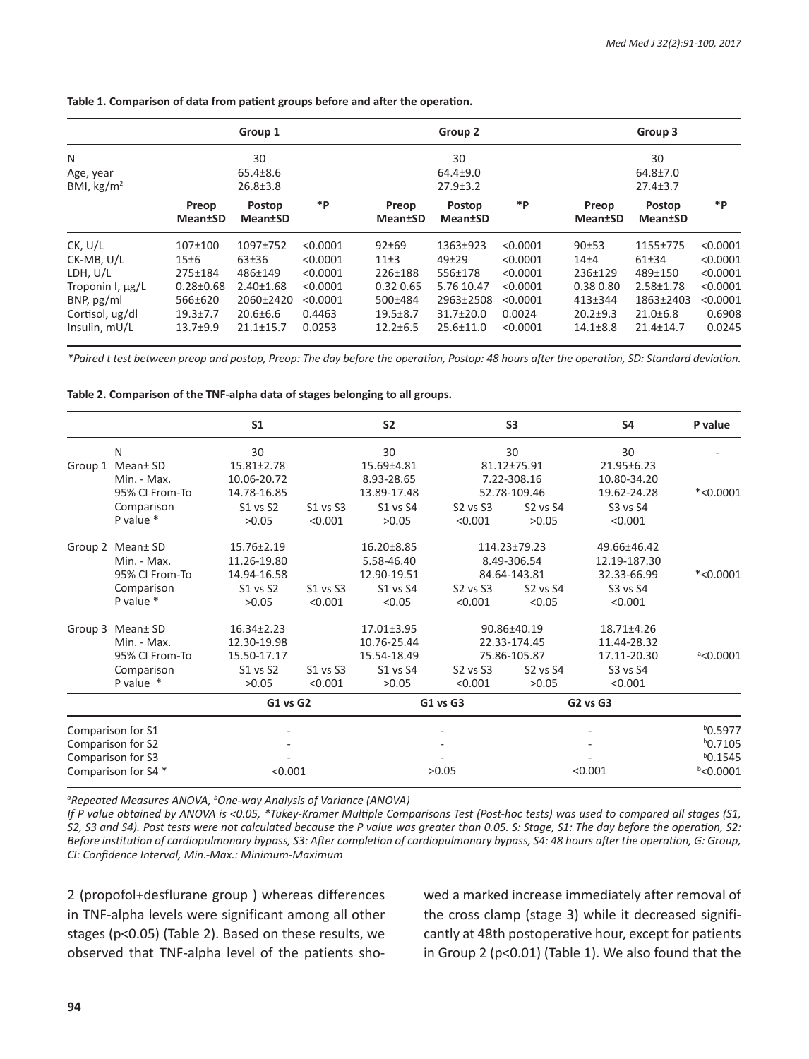|                                   |                          | Group 1                          |          |                          | Group 2                        |          |                          | Group 3                          |          |
|-----------------------------------|--------------------------|----------------------------------|----------|--------------------------|--------------------------------|----------|--------------------------|----------------------------------|----------|
| N                                 |                          | 30                               |          |                          | 30                             |          |                          | 30                               |          |
| Age, year<br>BMI, $\text{kg/m}^2$ |                          | $65.4 \pm 8.6$<br>$26.8 \pm 3.8$ |          |                          | $64.4 + 9.0$<br>$27.9 \pm 3.2$ |          |                          | $64.8 \pm 7.0$<br>$27.4 \pm 3.7$ |          |
|                                   | Preop<br><b>Mean</b> tSD | Postop<br><b>Mean±SD</b>         | *P       | Preop<br><b>Mean</b> tSD | Postop<br><b>Mean</b> tSD      | *P       | Preop<br><b>Mean</b> tSD | Postop<br><b>Mean</b> tSD        | *P       |
| CK, U/L                           | 107±100                  | 1097±752                         | < 0.0001 | 92±69                    | 1363±923                       | < 0.0001 | 90±53                    | 1155±775                         | < 0.0001 |
| CK-MB, U/L                        | 15±6                     | 63±36                            | < 0.0001 | $11\pm3$                 | 49±29                          | < 0.0001 | 14 <sub>±4</sub>         | 61±34                            | < 0.0001 |
| LDH, U/L                          | 275±184                  | 486±149                          | < 0.0001 | 226±188                  | 556±178                        | < 0.0001 | $236+129$                | 489±150                          | < 0.0001 |
| Troponin I, µg/L                  | $0.28 \pm 0.68$          | $2.40 \pm 1.68$                  | < 0.0001 | 0.32 0.65                | 5.76 10.47                     | < 0.0001 | 0.38 0.80                | $2.58 \pm 1.78$                  | < 0.0001 |
| BNP, $pg/ml$                      | 566±620                  | 2060±2420                        | < 0.0001 | 500±484                  | 2963±2508                      | < 0.0001 | 413±344                  | 1863±2403                        | < 0.0001 |
| Cortisol, ug/dl                   | $19.3 \pm 7.7$           | $20.6 \pm 6.6$                   | 0.4463   | $19.5 \pm 8.7$           | $31.7 \pm 20.0$                | 0.0024   | $20.2 + 9.3$             | $21.0 \pm 6.8$                   | 0.6908   |
| Insulin, $mU/L$                   | $13.7 + 9.9$             | $21.1 \pm 15.7$                  | 0.0253   | $12.2 \pm 6.5$           | $25.6 \pm 11.0$                | < 0.0001 | $14.1 \pm 8.8$           | $21.4 \pm 14.7$                  | 0.0245   |

**Table 1. Comparison of data from patient groups before and after the operation.**

*\*Paired t test between preop and postop, Preop: The day before the operation, Postop: 48 hours after the operation, SD: Standard deviation.*

**Table 2. Comparison of the TNF-alpha data of stages belonging to all groups.**

|                     |                              | S <sub>1</sub>   |          | S <sub>2</sub>            |                                  | S <sub>3</sub>                   | <b>S4</b>                  | P value            |
|---------------------|------------------------------|------------------|----------|---------------------------|----------------------------------|----------------------------------|----------------------------|--------------------|
|                     | N                            | 30               |          | 30                        |                                  | 30                               | 30                         |                    |
| Group 1             | Mean± SD<br>$15.81 \pm 2.78$ |                  |          | 15.69±4.81                | 81.12±75.91                      |                                  | 21.95±6.23                 |                    |
|                     | Min. - Max.                  | 10.06-20.72      |          | 8.93-28.65<br>13.89-17.48 | 7.22-308.16<br>52.78-109.46      |                                  | 10.80-34.20<br>19.62-24.28 | $*<0.0001$         |
|                     | 95% CI From-To               | 14.78-16.85      |          |                           |                                  |                                  |                            |                    |
|                     | Comparison                   | S1 vs S2         | S1 vs S3 | S1 vs S4                  | S <sub>2</sub> vs S <sub>3</sub> | S <sub>2</sub> vs S <sub>4</sub> | S3 vs S4                   |                    |
|                     | P value $*$                  | >0.05            | < 0.001  | >0.05                     | < 0.001                          | >0.05                            | < 0.001                    |                    |
|                     | Group 2 Mean± SD             | 15.76±2.19       |          | 16.20±8.85                |                                  | 114.23±79.23                     | 49.66±46.42                |                    |
|                     | Min. - Max.                  | 11.26-19.80      |          | 5.58-46.40                | 8.49-306.54                      |                                  | 12.19-187.30               |                    |
|                     | 95% CI From-To               | 14.94-16.58      |          | 12.90-19.51               | 84.64-143.81                     |                                  | 32.33-66.99                | $*<0.0001$         |
|                     | Comparison                   | S1 vs S2         | S1 vs S3 | S1 vs S4                  | S <sub>2</sub> vs S <sub>3</sub> | <b>S2 vs S4</b>                  | S3 vs S4                   |                    |
|                     | P value $*$                  | >0.05            | < 0.001  | < 0.05                    | < 0.001                          | < 0.05                           | < 0.001                    |                    |
|                     | Group 3 Mean± SD             | $16.34 \pm 2.23$ |          | 17.01±3.95                |                                  | 90.86±40.19                      | 18.71±4.26                 |                    |
|                     | Min. - Max.                  | 12.30-19.98      |          | 10.76-25.44               |                                  | 22.33-174.45                     | 11.44-28.32                |                    |
|                     | 95% CI From-To               | 15.50-17.17      |          | 15.54-18.49               | 75.86-105.87                     |                                  | 17.11-20.30                | $^{\circ}$ <0.0001 |
|                     | Comparison                   | S1 vs S2         | S1 vs S3 | <b>S1 vs S4</b>           | S <sub>2</sub> vs S <sub>3</sub> | S <sub>2</sub> vs S <sub>4</sub> | S3 vs S4                   |                    |
|                     | P value $*$                  | >0.05            | < 0.001  | >0.05                     | < 0.001                          | >0.05                            | < 0.001                    |                    |
|                     |                              | <b>G1 vs G2</b>  |          | G1 vs G3                  |                                  | <b>G2 vs G3</b>                  |                            |                    |
| Comparison for S1   |                              |                  |          |                           |                                  |                                  |                            | $b$ 0.5977         |
| Comparison for S2   |                              |                  |          |                           |                                  |                                  |                            |                    |
| Comparison for S3   |                              |                  |          |                           |                                  |                                  |                            |                    |
| Comparison for S4 * |                              | < 0.001          |          | >0.05                     |                                  | < 0.001                          |                            | $b$ <0.0001        |

<sup>a</sup>Repeated Measures ANOVA, <sup>b</sup>One-way Analysis of Variance (ANOVA)

*If P value obtained by ANOVA is <0.05, \*Tukey-Kramer Multiple Comparisons Test (Post-hoc tests) was used to compared all stages (S1, S2, S3 and S4). Post tests were not calculated because the P value was greater than 0.05. S: Stage, S1: The day before the operation, S2: Before institution of cardiopulmonary bypass, S3: After completion of cardiopulmonary bypass, S4: 48 hours after the operation, G: Group, CI: Confidence Interval, Min.-Max.: Minimum-Maximum*

2 (propofol+desflurane group ) whereas differences in TNF-alpha levels were significant among all other stages (p<0.05) (Table 2). Based on these results, we observed that TNF-alpha level of the patients showed a marked increase immediately after removal of the cross clamp (stage 3) while it decreased significantly at 48th postoperative hour, except for patients in Group 2 (p<0.01) (Table 1). We also found that the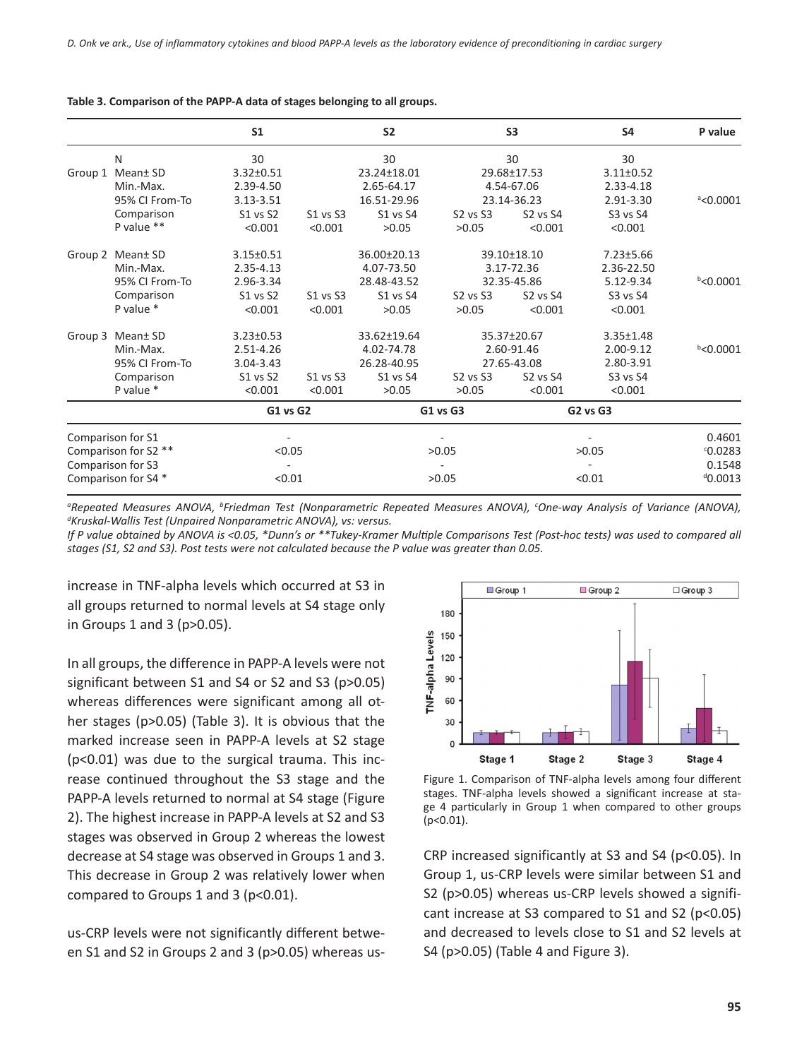|                      |                        | S <sub>1</sub>  |          | S <sub>2</sub>            |                                  | S <sub>3</sub>           | S <sub>4</sub>  | P value            |
|----------------------|------------------------|-----------------|----------|---------------------------|----------------------------------|--------------------------|-----------------|--------------------|
|                      | N                      | 30              |          | 30                        |                                  | 30                       | 30              |                    |
| Group 1              | Mean± SD               | $3.32 \pm 0.51$ |          | 23.24±18.01               |                                  | 29.68±17.53              | $3.11 \pm 0.52$ |                    |
|                      | Min.-Max.              | 2.39-4.50       |          | 2.65-64.17<br>16.51-29.96 |                                  | 4.54-67.06               | 2.33-4.18       |                    |
|                      | 95% CI From-To         | 3.13-3.51       |          |                           | 23.14-36.23                      |                          | 2.91-3.30       | $^{\circ}$ <0.0001 |
|                      | Comparison             | S1 vs S2        | S1 vs S3 | <b>S1 vs S4</b>           | S2 vs S3                         | <b>S2 vs S4</b>          | S3 vs S4        |                    |
|                      | P value **             | < 0.001         | < 0.001  | >0.05                     | >0.05                            | < 0.001                  | < 0.001         |                    |
|                      | Group 2 Mean± SD       | $3.15 \pm 0.51$ |          | 36.00±20.13               |                                  | 39.10±18.10              | $7.23 \pm 5.66$ |                    |
|                      | Min.-Max.<br>2.35-4.13 |                 |          | 4.07-73.50                | 3.17-72.36                       |                          | 2.36-22.50      |                    |
|                      | 95% CI From-To         | 2.96-3.34       |          | 28.48-43.52               | 32.35-45.86                      |                          | 5.12-9.34       | $b$ <0.0001        |
|                      | Comparison             | S1 vs S2        | S1 vs S3 | <b>S1 vs S4</b>           | S <sub>2</sub> vs S <sub>3</sub> | <b>S2 vs S4</b>          | S3 vs S4        |                    |
|                      | P value *              | < 0.001         | < 0.001  | >0.05                     | >0.05                            | < 0.001                  | < 0.001         |                    |
|                      | Group 3 Mean± SD       | $3.23 \pm 0.53$ |          | 33.62±19.64               |                                  | 35.37±20.67              | $3.35 \pm 1.48$ |                    |
|                      | Min.-Max.              | 2.51-4.26       |          | 4.02-74.78                |                                  | 2.60-91.46               | 2.00-9.12       | $b$ <0.0001        |
|                      | 95% CI From-To         | 3.04-3.43       |          | 26.28-40.95               | 27.65-43.08                      |                          | 2.80-3.91       |                    |
|                      | Comparison             | <b>S1 vs S2</b> | S1 vs S3 | S1 vs S4                  | S2 vs S3                         | S2 vs S4                 | S3 vs S4        |                    |
|                      | P value *              | < 0.001         | < 0.001  | >0.05                     | >0.05                            | < 0.001                  | < 0.001         |                    |
|                      |                        | <b>G1 vs G2</b> |          | <b>G1 vs G3</b>           |                                  | <b>G2 vs G3</b>          |                 |                    |
| Comparison for S1    |                        |                 |          |                           |                                  |                          |                 | 0.4601             |
| Comparison for S2 ** |                        |                 | < 0.05   |                           | >0.05                            |                          | >0.05           |                    |
| Comparison for S3    |                        |                 |          |                           |                                  | $\overline{\phantom{a}}$ |                 | 0.1548             |
| Comparison for S4 *  |                        |                 | < 0.01   |                           | >0.05                            |                          | < 0.01          |                    |

#### **Table 3. Comparison of the PAPP-A data of stages belonging to all groups.**

*a Repeated Measures ANOVA, <sup>b</sup> Friedman Test (Nonparametric Repeated Measures ANOVA), <sup>c</sup> One-way Analysis of Variance (ANOVA), d Kruskal-Wallis Test (Unpaired Nonparametric ANOVA), vs: versus.*

*If P value obtained by ANOVA is <0.05, \*Dunn's or \*\*Tukey-Kramer Multiple Comparisons Test (Post-hoc tests) was used to compared all stages (S1, S2 and S3). Post tests were not calculated because the P value was greater than 0.05.*

increase in TNF-alpha levels which occurred at S3 in all groups returned to normal levels at S4 stage only in Groups 1 and 3 (p>0.05).

In all groups, the difference in PAPP-A levels were not significant between S1 and S4 or S2 and S3 (p>0.05) whereas differences were significant among all other stages (p>0.05) (Table 3). It is obvious that the marked increase seen in PAPP-A levels at S2 stage (p<0.01) was due to the surgical trauma. This increase continued throughout the S3 stage and the PAPP-A levels returned to normal at S4 stage (Figure 2). The highest increase in PAPP-A levels at S2 and S3 stages was observed in Group 2 whereas the lowest decrease at S4 stage was observed in Groups 1 and 3. This decrease in Group 2 was relatively lower when compared to Groups 1 and 3 (p<0.01).

us-CRP levels were not significantly different between S1 and S2 in Groups 2 and 3 (p>0.05) whereas us-



Figure 1. Comparison of TNF-alpha levels among four different stages. TNF-alpha levels showed a significant increase at stage 4 particularly in Group 1 when compared to other groups (p<0.01).

CRP increased significantly at S3 and S4 (p<0.05). In Group 1, us-CRP levels were similar between S1 and S2 (p>0.05) whereas us-CRP levels showed a significant increase at S3 compared to S1 and S2 (p<0.05) and decreased to levels close to S1 and S2 levels at S4 (p>0.05) (Table 4 and Figure 3).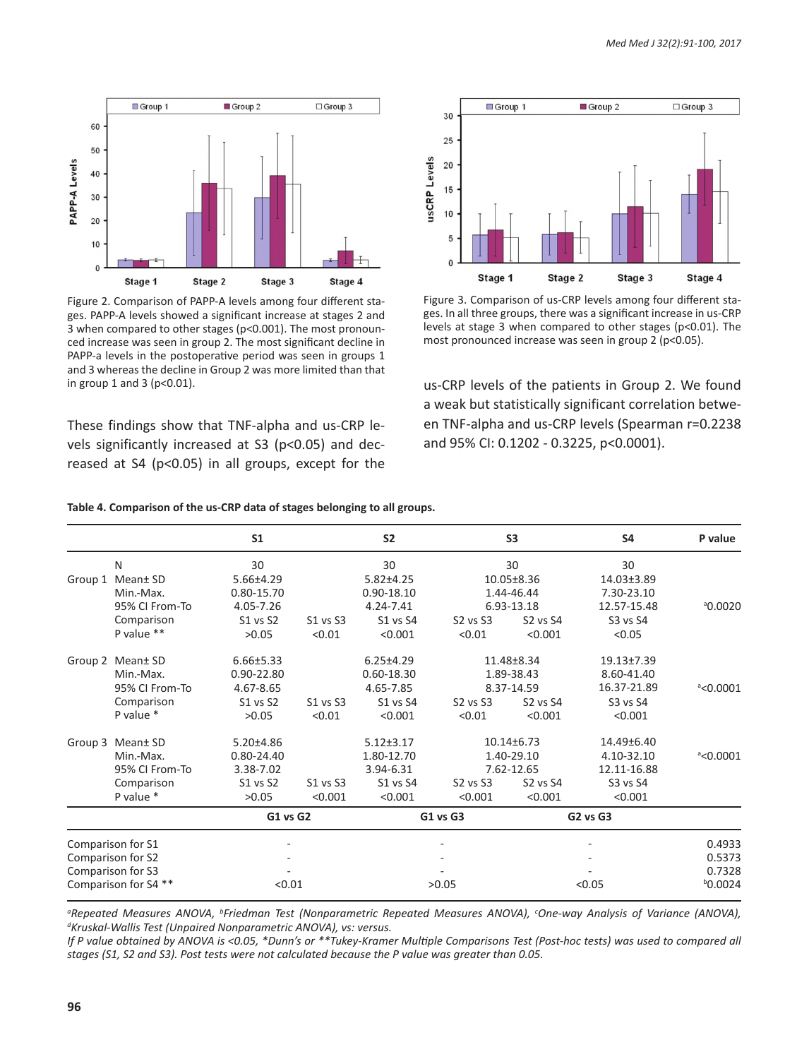

Figure 2. Comparison of PAPP-A levels among four different stages. PAPP-A levels showed a significant increase at stages 2 and 3 when compared to other stages (p<0.001). The most pronounced increase was seen in group 2. The most significant decline in PAPP-a levels in the postoperative period was seen in groups 1 and 3 whereas the decline in Group 2 was more limited than that in group 1 and 3 (p<0.01).

These findings show that TNF-alpha and us-CRP levels significantly increased at S3 (p<0.05) and decreased at S4 (p<0.05) in all groups, except for the



Figure 3. Comparison of us-CRP levels among four different stages. In all three groups, there was a significant increase in us-CRP levels at stage 3 when compared to other stages (p<0.01). The most pronounced increase was seen in group 2 (p<0.05).

us-CRP levels of the patients in Group 2. We found a weak but statistically significant correlation between TNF-alpha and us-CRP levels (Spearman r=0.2238 and 95% CI: 0.1202 - 0.3225, p<0.0001).

|                      |                         | S <sub>1</sub>  |                 | <b>S2</b>               |                                  | S <sub>3</sub>   | <b>S4</b>                 | P value            |
|----------------------|-------------------------|-----------------|-----------------|-------------------------|----------------------------------|------------------|---------------------------|--------------------|
|                      | N                       | 30              |                 | 30                      |                                  | 30               | 30                        |                    |
|                      | Group 1 Mean± SD        | $5.66{\pm}4.29$ |                 | $5.82 \pm 4.25$         |                                  | 10.05±8.36       | 14.03±3.89                |                    |
|                      | Min.-Max.               | 0.80-15.70      |                 | 0.90-18.10<br>4.24-7.41 | 1.44-46.44<br>6.93-13.18         |                  | 7.30-23.10<br>12.57-15.48 | <sup>ª0.0020</sup> |
|                      | 95% CI From-To          | 4.05-7.26       |                 |                         |                                  |                  |                           |                    |
|                      | Comparison              | <b>S1 vs S2</b> | S1 vs S3        | S1 vs S4                | S2 vs S3                         | <b>S2 vs S4</b>  | S3 vs S4                  |                    |
|                      | P value **              | >0.05           | < 0.01          | < 0.001                 | < 0.01                           | < 0.001          | < 0.05                    |                    |
|                      | Group 2 Mean± SD        | $6.66 \pm 5.33$ |                 | $6.25 \pm 4.29$         |                                  | 11.48±8.34       | 19.13±7.39                |                    |
|                      | 0.90-22.80<br>Min.-Max. |                 |                 | 0.60-18.30              | 1.89-38.43                       |                  | 8.60-41.40                |                    |
|                      | 95% CI From-To          | 4.67-8.65       |                 | 4.65-7.85               |                                  | 8.37-14.59       | 16.37-21.89               | $8$ <0.0001        |
|                      | Comparison              | <b>S1 vs S2</b> | S1 vs S3        | S1 vs S4                | S2 vs S3                         | S2 vs S4         | S3 vs S4                  |                    |
|                      | P value *               | >0.05           | < 0.01          | < 0.001                 | < 0.01                           | < 0.001          | < 0.001                   |                    |
|                      | Group 3 Mean± SD        | $5.20 \pm 4.86$ |                 | $5.12 \pm 3.17$         |                                  | $10.14 \pm 6.73$ | 14.49±6.40                |                    |
|                      | Min.-Max.               | $0.80 - 24.40$  |                 | 1.80-12.70              |                                  | 1.40-29.10       | 4.10-32.10                | $^{\circ}$ <0.0001 |
|                      | 95% CI From-To          | 3.38-7.02       |                 | 3.94-6.31               | 7.62-12.65                       |                  | 12.11-16.88               |                    |
|                      | Comparison              | S1 vs S2        | S1 vs S3        | S1 vs S4                | S <sub>2</sub> vs S <sub>3</sub> | <b>S2 vs S4</b>  | S3 vs S4                  |                    |
|                      | P value *               | >0.05           | < 0.001         | < 0.001                 | < 0.001                          | < 0.001          | < 0.001                   |                    |
|                      |                         |                 | <b>G1 vs G2</b> |                         | <b>G1 vs G3</b>                  |                  | <b>G2 vs G3</b>           |                    |
| Comparison for S1    |                         | ٠               |                 |                         |                                  |                  |                           | 0.4933             |
| Comparison for S2    |                         |                 |                 |                         |                                  |                  |                           |                    |
| Comparison for S3    |                         |                 |                 |                         |                                  |                  |                           |                    |
| Comparison for S4 ** |                         |                 | < 0.01          |                         | >0.05                            |                  | < 0.05                    |                    |

#### **Table 4. Comparison of the us-CRP data of stages belonging to all groups.**

*a Repeated Measures ANOVA, <sup>b</sup> Friedman Test (Nonparametric Repeated Measures ANOVA), <sup>c</sup> One-way Analysis of Variance (ANOVA), d Kruskal-Wallis Test (Unpaired Nonparametric ANOVA), vs: versus.*

*If P value obtained by ANOVA is <0.05, \*Dunn's or \*\*Tukey-Kramer Multiple Comparisons Test (Post-hoc tests) was used to compared all stages (S1, S2 and S3). Post tests were not calculated because the P value was greater than 0.05.*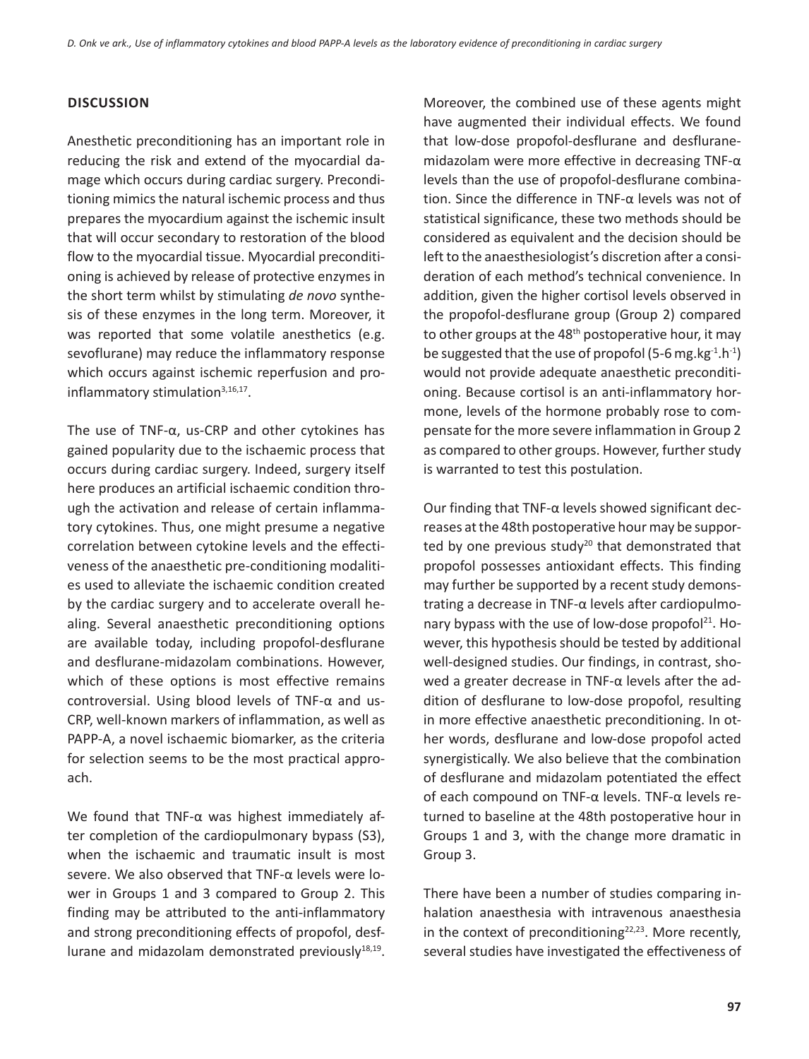## **DIscussIon**

Anesthetic preconditioning has an important role in reducing the risk and extend of the myocardial damage which occurs during cardiac surgery. Preconditioning mimics the natural ischemic process and thus prepares the myocardium against the ischemic insult that will occur secondary to restoration of the blood flow to the myocardial tissue. Myocardial preconditioning is achieved by release of protective enzymes in the short term whilst by stimulating *de novo* synthesis of these enzymes in the long term. Moreover, it was reported that some volatile anesthetics (e.g. sevoflurane) may reduce the inflammatory response which occurs against ischemic reperfusion and proinflammatory stimulation<sup>3,16,17</sup>.

The use of TNF-α, us-CRP and other cytokines has gained popularity due to the ischaemic process that occurs during cardiac surgery. Indeed, surgery itself here produces an artificial ischaemic condition through the activation and release of certain inflammatory cytokines. Thus, one might presume a negative correlation between cytokine levels and the effectiveness of the anaesthetic pre-conditioning modalities used to alleviate the ischaemic condition created by the cardiac surgery and to accelerate overall healing. Several anaesthetic preconditioning options are available today, including propofol-desflurane and desflurane-midazolam combinations. However, which of these options is most effective remains controversial. Using blood levels of TNF-α and us-CRP, well-known markers of inflammation, as well as PAPP-A, a novel ischaemic biomarker, as the criteria for selection seems to be the most practical approach.

We found that TNF-α was highest immediately after completion of the cardiopulmonary bypass (S3), when the ischaemic and traumatic insult is most severe. We also observed that TNF-α levels were lower in Groups 1 and 3 compared to Group 2. This finding may be attributed to the anti-inflammatory and strong preconditioning effects of propofol, desflurane and midazolam demonstrated previously<sup>18,19</sup>.

Moreover, the combined use of these agents might have augmented their individual effects. We found that low-dose propofol-desflurane and desfluranemidazolam were more effective in decreasing TNF-α levels than the use of propofol-desflurane combination. Since the difference in TNF-α levels was not of statistical significance, these two methods should be considered as equivalent and the decision should be left to the anaesthesiologist's discretion after a consideration of each method's technical convenience. In addition, given the higher cortisol levels observed in the propofol-desflurane group (Group 2) compared to other groups at the 48<sup>th</sup> postoperative hour, it may be suggested that the use of propofol (5-6 mg.kg $^{-1}$ .h $^{-1}$ ) would not provide adequate anaesthetic preconditioning. Because cortisol is an anti-inflammatory hormone, levels of the hormone probably rose to compensate for the more severe inflammation in Group 2 as compared to other groups. However, further study is warranted to test this postulation.

Our finding that TNF-α levels showed significant decreases at the 48th postoperative hour may be supported by one previous study<sup>20</sup> that demonstrated that propofol possesses antioxidant effects. This finding may further be supported by a recent study demonstrating a decrease in TNF-α levels after cardiopulmonary bypass with the use of low-dose propofol $^{21}$ . However, this hypothesis should be tested by additional well-designed studies. Our findings, in contrast, showed a greater decrease in TNF-α levels after the addition of desflurane to low-dose propofol, resulting in more effective anaesthetic preconditioning. In other words, desflurane and low-dose propofol acted synergistically. We also believe that the combination of desflurane and midazolam potentiated the effect of each compound on TNF-α levels. TNF-α levels returned to baseline at the 48th postoperative hour in Groups 1 and 3, with the change more dramatic in Group 3.

There have been a number of studies comparing inhalation anaesthesia with intravenous anaesthesia in the context of preconditioning<sup>22,23</sup>. More recently, several studies have investigated the effectiveness of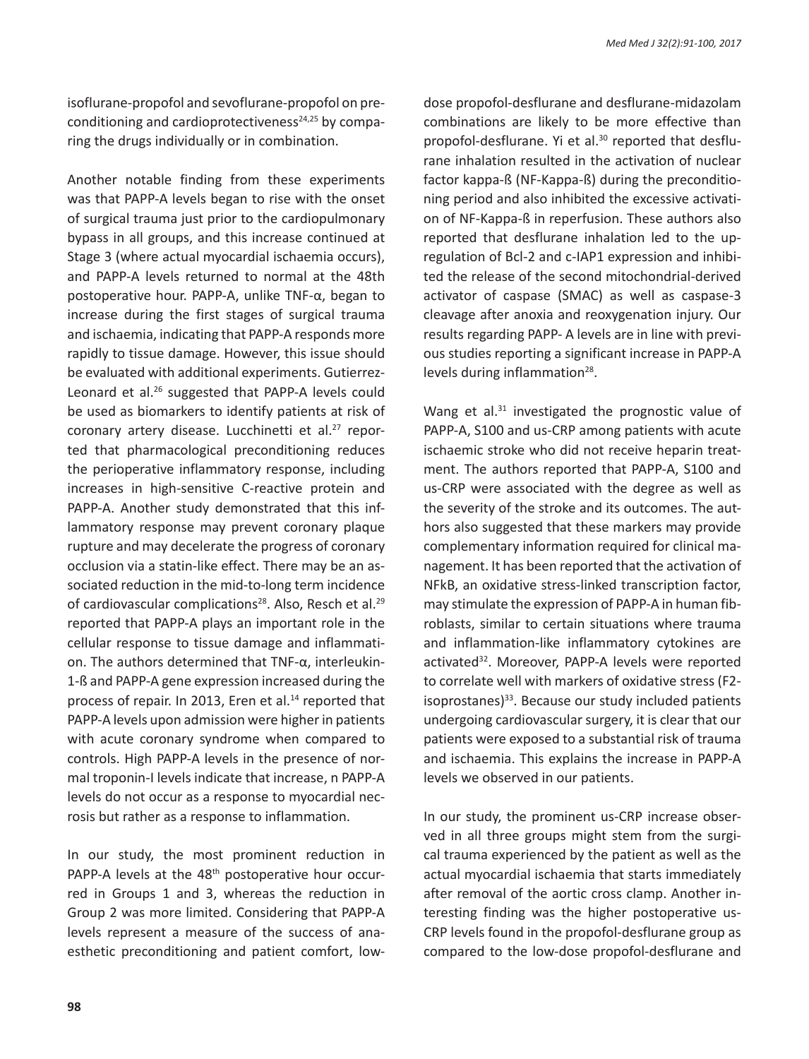isoflurane-propofol and sevoflurane-propofol on preconditioning and cardioprotectiveness $24,25$  by comparing the drugs individually or in combination.

Another notable finding from these experiments was that PAPP-A levels began to rise with the onset of surgical trauma just prior to the cardiopulmonary bypass in all groups, and this increase continued at Stage 3 (where actual myocardial ischaemia occurs), and PAPP-A levels returned to normal at the 48th postoperative hour. PAPP-A, unlike TNF-α, began to increase during the first stages of surgical trauma and ischaemia, indicating that PAPP-A responds more rapidly to tissue damage. However, this issue should be evaluated with additional experiments. Gutierrez-Leonard et al.<sup>26</sup> suggested that PAPP-A levels could be used as biomarkers to identify patients at risk of coronary artery disease. Lucchinetti et al.<sup>27</sup> reported that pharmacological preconditioning reduces the perioperative inflammatory response, including increases in high-sensitive C-reactive protein and PAPP-A. Another study demonstrated that this inflammatory response may prevent coronary plaque rupture and may decelerate the progress of coronary occlusion via a statin-like effect. There may be an associated reduction in the mid-to-long term incidence of cardiovascular complications<sup>28</sup>. Also, Resch et al.<sup>29</sup> reported that PAPP-A plays an important role in the cellular response to tissue damage and inflammation. The authors determined that TNF-α, interleukin-1-ß and PAPP-A gene expression increased during the process of repair. In 2013, Eren et al.<sup>14</sup> reported that PAPP-A levels upon admission were higher in patients with acute coronary syndrome when compared to controls. High PAPP-A levels in the presence of normal troponin-I levels indicate that increase, n PAPP-A levels do not occur as a response to myocardial necrosis but rather as a response to inflammation.

In our study, the most prominent reduction in PAPP-A levels at the 48<sup>th</sup> postoperative hour occurred in Groups 1 and 3, whereas the reduction in Group 2 was more limited. Considering that PAPP-A levels represent a measure of the success of anaesthetic preconditioning and patient comfort, lowdose propofol-desflurane and desflurane-midazolam combinations are likely to be more effective than propofol-desflurane. Yi et al.<sup>30</sup> reported that desflurane inhalation resulted in the activation of nuclear factor kappa-ß (NF-Kappa-ß) during the preconditioning period and also inhibited the excessive activation of NF-Kappa-ß in reperfusion. These authors also reported that desflurane inhalation led to the upregulation of Bcl-2 and c-IAP1 expression and inhibited the release of the second mitochondrial-derived activator of caspase (SMAC) as well as caspase-3 cleavage after anoxia and reoxygenation injury. Our results regarding PAPP- A levels are in line with previous studies reporting a significant increase in PAPP-A levels during inflammation $28$ .

Wang et al.<sup>31</sup> investigated the prognostic value of PAPP-A, S100 and us-CRP among patients with acute ischaemic stroke who did not receive heparin treatment. The authors reported that PAPP-A, S100 and us-CRP were associated with the degree as well as the severity of the stroke and its outcomes. The authors also suggested that these markers may provide complementary information required for clinical management. It has been reported that the activation of NFkB, an oxidative stress-linked transcription factor, may stimulate the expression of PAPP-A in human fibroblasts, similar to certain situations where trauma and inflammation-like inflammatory cytokines are activated<sup>32</sup>. Moreover, PAPP-A levels were reported to correlate well with markers of oxidative stress (F2 isoprostanes) $33$ . Because our study included patients undergoing cardiovascular surgery, it is clear that our patients were exposed to a substantial risk of trauma and ischaemia. This explains the increase in PAPP-A levels we observed in our patients.

In our study, the prominent us-CRP increase observed in all three groups might stem from the surgical trauma experienced by the patient as well as the actual myocardial ischaemia that starts immediately after removal of the aortic cross clamp. Another interesting finding was the higher postoperative us-CRP levels found in the propofol-desflurane group as compared to the low-dose propofol-desflurane and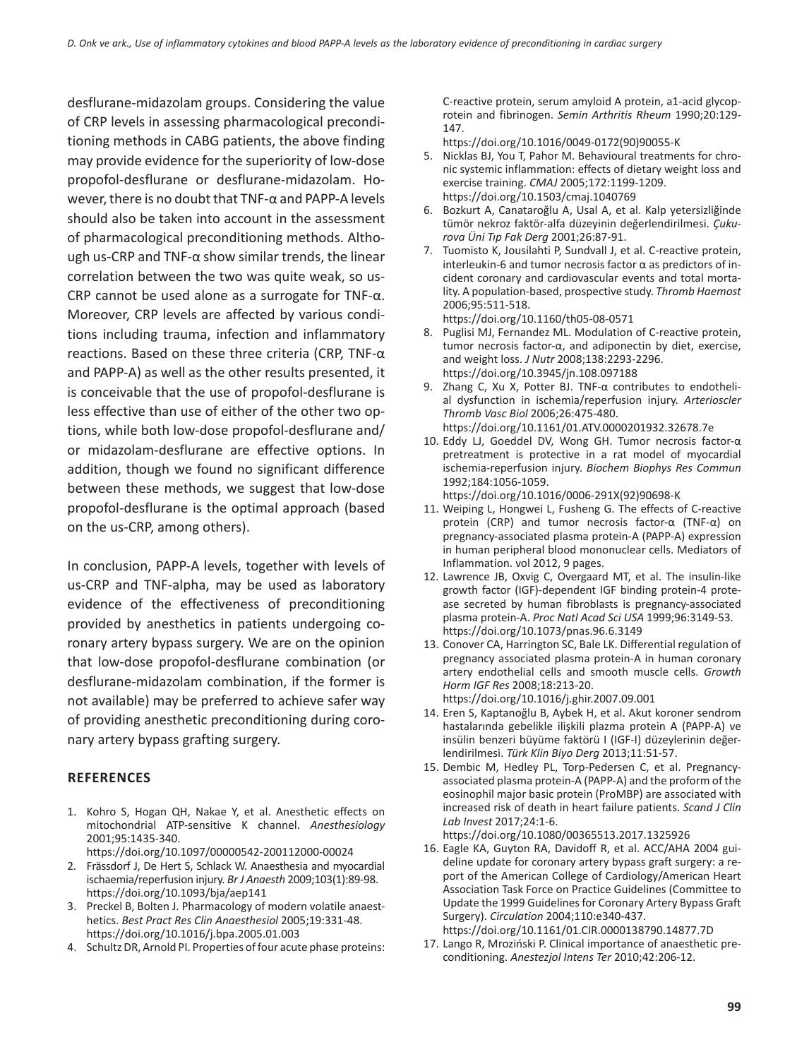desflurane-midazolam groups. Considering the value of CRP levels in assessing pharmacological preconditioning methods in CABG patients, the above finding may provide evidence for the superiority of low-dose propofol-desflurane or desflurane-midazolam. However, there is no doubt that TNF-α and PAPP-A levels should also be taken into account in the assessment of pharmacological preconditioning methods. Although us-CRP and TNF-α show similar trends, the linear correlation between the two was quite weak, so us-CRP cannot be used alone as a surrogate for TNF-α. Moreover, CRP levels are affected by various conditions including trauma, infection and inflammatory reactions. Based on these three criteria (CRP, TNF-α and PAPP-A) as well as the other results presented, it is conceivable that the use of propofol-desflurane is less effective than use of either of the other two options, while both low-dose propofol-desflurane and/ or midazolam-desflurane are effective options. In addition, though we found no significant difference between these methods, we suggest that low-dose propofol-desflurane is the optimal approach (based on the us-CRP, among others).

In conclusion, PAPP-A levels, together with levels of us-CRP and TNF-alpha, may be used as laboratory evidence of the effectiveness of preconditioning provided by anesthetics in patients undergoing coronary artery bypass surgery. We are on the opinion that low-dose propofol-desflurane combination (or desflurane-midazolam combination, if the former is not available) may be preferred to achieve safer way of providing anesthetic preconditioning during coronary artery bypass grafting surgery.

## **References**

- 1. Kohro S, Hogan QH, Nakae Y, et al. Anesthetic effects on mitochondrial ATP-sensitive K channel. *Anesthesiology* 2001;95:1435-340. https://doi.org/10.1097/00000542-200112000-00024
- 2. Frässdorf J, De Hert S, Schlack W. Anaesthesia and myocardial ischaemia/reperfusion injury. *Br J Anaesth* 2009;103(1):89-98. https://doi.org/10.1093/bja/aep141
- 3. Preckel B, Bolten J. Pharmacology of modern volatile anaesthetics. *Best Pract Res Clin Anaesthesiol* 2005;19:331-48. https://doi.org/10.1016/j.bpa.2005.01.003
- 4. Schultz DR, Arnold PI. Properties of four acute phase proteins:

C-reactive protein, serum amyloid A protein, a1-acid glycoprotein and fibrinogen. *Semin Arthritis Rheum* 1990;20:129- 147.

https://doi.org/10.1016/0049-0172(90)90055-K

- 5. Nicklas BJ, You T, Pahor M. Behavioural treatments for chronic systemic inflammation: effects of dietary weight loss and exercise training. *CMAJ* 2005;172:1199-1209. https://doi.org/10.1503/cmaj.1040769
- 6. Bozkurt A, Canataroğlu A, Usal A, et al. Kalp yetersizliğinde tümör nekroz faktör-alfa düzeyinin değerlendirilmesi. *Çukurova Üni Tıp Fak Derg* 2001;26:87-91.
- 7. Tuomisto K, Jousilahti P, Sundvall J, et al. C-reactive protein, interleukin-6 and tumor necrosis factor α as predictors of incident coronary and cardiovascular events and total mortality. A population-based, prospective study. *Thromb Haemost* 2006;95:511-518.

https://doi.org/10.1160/th05-08-0571

- 8. Puglisi MJ, Fernandez ML. Modulation of C-reactive protein, tumor necrosis factor-α, and adiponectin by diet, exercise, and weight loss. *J Nutr* 2008;138:2293-2296. https://doi.org/10.3945/jn.108.097188
- 9. Zhang C, Xu X, Potter BJ. TNF-α contributes to endothelial dysfunction in ischemia/reperfusion injury. *Arterioscler Thromb Vasc Biol* 2006;26:475-480. https://doi.org/10.1161/01.ATV.0000201932.32678.7e
- 10. Eddy LJ, Goeddel DV, Wong GH. Tumor necrosis factor-α pretreatment is protective in a rat model of myocardial ischemia-reperfusion injury. *Biochem Biophys Res Commun*  1992;184:1056-1059.
- https://doi.org/10.1016/0006-291X(92)90698-K 11. Weiping L, Hongwei L, Fusheng G. The effects of C-reactive
- protein (CRP) and tumor necrosis factor-α (TNF-α) on pregnancy-associated plasma protein-A (PAPP-A) expression in human peripheral blood mononuclear cells. Mediators of Inflammation. vol 2012, 9 pages.
- 12. Lawrence JB, Oxvig C, Overgaard MT, et al. The insulin-like growth factor (IGF)-dependent IGF binding protein-4 protease secreted by human fibroblasts is pregnancy-associated plasma protein-A. *Proc Natl Acad Sci USA* 1999;96:3149-53. https://doi.org/10.1073/pnas.96.6.3149
- 13. Conover CA, Harrington SC, Bale LK. Differential regulation of pregnancy associated plasma protein-A in human coronary artery endothelial cells and smooth muscle cells. *Growth Horm IGF Res* 2008;18:213-20. https://doi.org/10.1016/j.ghir.2007.09.001
- 14. Eren S, Kaptanoğlu B, Aybek H, et al. Akut koroner sendrom hastalarında gebelikle ilişkili plazma protein A (PAPP-A) ve insülin benzeri büyüme faktörü I (IGF-I) düzeylerinin değerlendirilmesi. *Türk Klin Biyo Derg* 2013;11:51-57.
- 15. Dembic M, Hedley PL, Torp-Pedersen C, et al. Pregnancyassociated plasma protein-A (PAPP-A) and the proform of the eosinophil major basic protein (ProMBP) are associated with increased risk of death in heart failure patients. *Scand J Clin Lab Invest* 2017;24:1-6. https://doi.org/10.1080/00365513.2017.1325926
- 16. Eagle KA, Guyton RA, Davidoff R, et al. ACC/AHA 2004 guideline update for coronary artery bypass graft surgery: a report of the American College of Cardiology/American Heart Association Task Force on Practice Guidelines (Committee to Update the 1999 Guidelines for Coronary Artery Bypass Graft Surgery). *Circulation* 2004;110:e340-437. https://doi.org/10.1161/01.CIR.0000138790.14877.7D
- 17. Lango R, Mroziński P. Clinical importance of anaesthetic preconditioning. *Anestezjol Intens Ter* 2010;42:206-12.